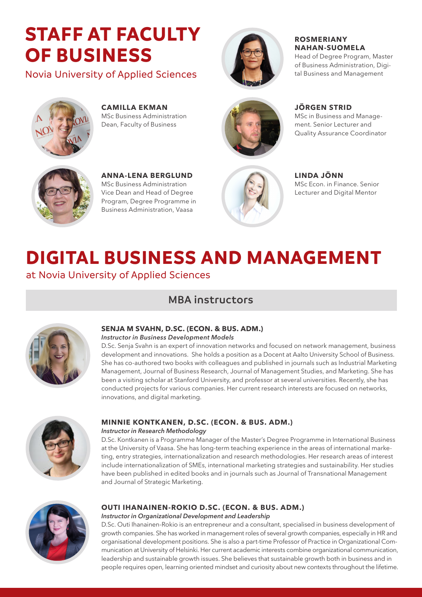# **STAFF AT FACULTY OF BUSINESS**

Novia University of Applied Sciences



**ROSMERIANY NAHAN-SUOMELA**  Head of Degree Program, Master of Business Administration, Digi-

tal Business and Management



**CAMILLA EKMAN** MSc Business Administration Dean, Faculty of Business



**JÖRGEN STRID** 

MSc in Business and Management. Senior Lecturer and Quality Assurance Coordinator



**ANNA-LENA BERGLUND**  MSc Business Administration Vice Dean and Head of Degree Program, Degree Programme in Business Administration, Vaasa



#### **LINDA JÖNN** MSc Econ. in Finance. Senior

Lecturer and Digital Mentor

# **DIGITAL BUSINESS AND MANAGEMENT**

at Novia University of Applied Sciences

## **MBA instructors**



### **SENJA M SVAHN, D.SC. (ECON. & BUS. ADM.)**

*Instructor in Business Development Models*

D.Sc. Senja Svahn is an expert of innovation networks and focused on network management, business development and innovations. She holds a position as a Docent at Aalto University School of Business. She has co-authored two books with colleagues and published in journals such as Industrial Marketing Management, Journal of Business Research, Journal of Management Studies, and Marketing. She has been a visiting scholar at Stanford University, and professor at several universities. Recently, she has conducted projects for various companies. Her current research interests are focused on networks, innovations, and digital marketing.



## **MINNIE KONTKANEN, D.SC. (ECON. & BUS. ADM.)**

#### *Instructor in Research Methodology*

D.Sc. Kontkanen is a Programme Manager of the Master's Degree Programme in International Business at the University of Vaasa. She has long-term teaching experience in the areas of international marketing, entry strategies, internationalization and research methodologies. Her research areas of interest include internationalization of SMEs, international marketing strategies and sustainability. Her studies have been published in edited books and in journals such as Journal of Transnational Management and Journal of Strategic Marketing.



### **OUTI IHANAINEN-ROKIO D.SC. (ECON. & BUS. ADM.)**

#### *Instructor in Organizational Development and Leadership*

D.Sc. Outi Ihanainen-Rokio is an entrepreneur and a consultant, specialised in business development of growth companies. She has worked in management roles of several growth companies, especially in HR and organisational development positions. She is also a part-time Professor of Practice in Organizational Communication at University of Helsinki. Her current academic interests combine organizational communication, leadership and sustainable growth issues. She believes that sustainable growth both in business and in people requires open, learning oriented mindset and curiosity about new contexts throughout the lifetime.